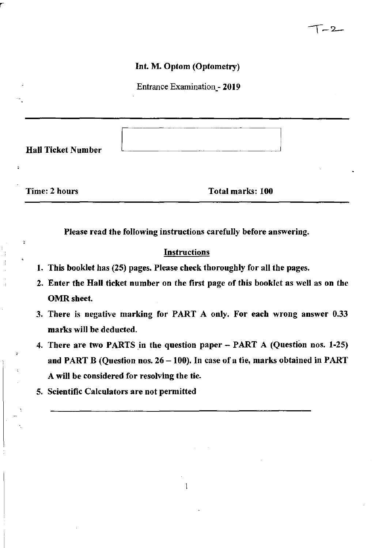#### Int. M. Optom (Optometry)

Entrance Examination\_- 2019

Hall Ticket Number

,

 $\ddot{ }$ 

Time: 2 hours Total marks: 100

Please read the following instructions carefully before answering.

#### **Instructions**

- 1. This booklet has (25) pages. Please check thoroughly for all the pages.
- 2. Enter the Hall ticket number on the first page of this booklet as well as on the OMR sheet.
- 3. There is negative marking for PART A only. For each wrong answer 0.33 marks will be deducted.
- 4. There are two PARTS In the question paper PART A (Question nos. 1-25) and PART B (Question nos.  $26 - 100$ ). In case of a tie, marks obtained in PART A will be considered for resolving the tie.

 $\mathbf{1}$ 

5. Scientific Calculators are not permitted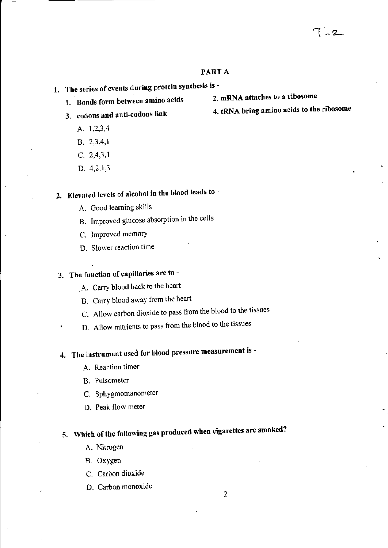#### PART A

- 1. The series of events during protein synthesis is -<br>1. Bends form between amine acids 2. mRNA attaches to a ribosome
	- 1. Bonds form between amino acids
	- - A. 1,2,3,4
		- B. 2,3,4,1
		- C. 2,4,3,1
		- D. 4,2,1,3

## 2. Elevated levels of alcohol in the blood leads to -

- A. Good learning skills
- B. Improved glucose absorption in the cells
- C. Improved memory
- D. Slower reaction time

## 3. The function of capillaries are to -

- A. Carry blood back to the heart
- B. Carry blood away from the heart
- C. Allow carbon dioxide to pass from the blood to the tissues
- D. Allow nutrients to pass from the blood to the tissues

# 4. The instrument used for blood pressure measurement is -

- A. Reaction timer
- B. Pulsometer
- C. Sphygmomanometer
- D. Peak flow meter

# 5. Which of the following gas produced when cigarettes are smoked?

- A. Nitrogen
- B. Oxygen
- C. Carbon dioxide
- D. Carbon monoxide
- 
- 3. codons and anti-codons link 4. tRNA bring amino acids to the ribosome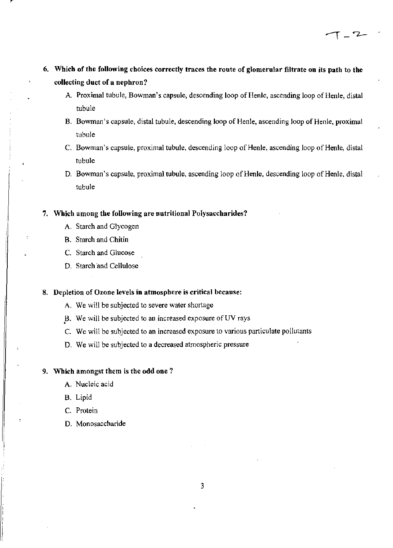- 6. Which of the following choices correctly traces the route of glomerular filtrate on its path to the collecting duct of a nephron?
	- A. Proximal tubule, Bowman's capsule, descending loop of Henle, ascending loop of Henle, distal tubule

 $T = 2$ 

- B. Bowman's capsule, distal tubule, descending loop of Renle, ascending loop of Henle, proximal tubule
- C. Bowman's capsule, proximal tubule, descending loop of Henle, ascending loop of Henle, distal tubule
- D. Bowman's capsule, proximal tubule, ascending loop of Henie, descending loop of Henle, distal tubule

#### 7. Which among the following are nutritional Polysaccharides?

- A. Starch and Glycogen
- B. Starch and Chitin
- C. Starch and Glucose
- D. Starch and Cellulose

#### 8. Depletion of Ozone levels in atmosphere is critical because:

- A. We will be subjected to severe water Shortage
- B. We will be subjected to an increased exposure of UV rays
- C. We will be subjected to an increased exposure to various particulate pollutants
- D. We will be subjected to a decreased atmospheric pressure

#### 9. Which amongst them is the odd one?

- A. Nucleic acid
- B. Lipid

ċ

- C. Protein
- D. Monosaccharide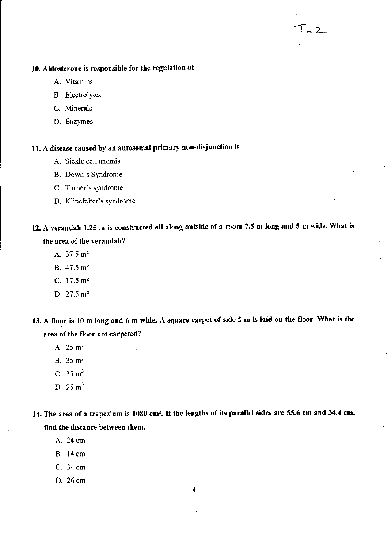#### 10. Aldosterone is responsible for the regulation of

- A. Vitamins
- B. Electrolytes
- C. Minerals
- D. Enzymes

### 11. A disease caused by an autosomal primary non-disjunction is

- A. Sickle cell anemia
- B. Down's Syndrome
- C. Turner's syndrome
- D. Klinefelter's syndrome

## 12. A verandah 1.25 m is constructed all along outside of a room 7.5 m long and 5 m wide. What is the area of the verandah?

 $\sim 2$ 

- A. 37.5 m'
- B. 47.5 m'
- c. 17.5 m'
- D.  $27.5 \text{ m}^2$
- 13. A floor is 10 m long and 6 m wide. A square carpet of side 5 m is laid on the floor. What is the area of the floor not carpeted?
	- A.  $25 \text{ m}^2$
	- B. 35 m'
	- C.  $35 \text{ m}^3$
	- D.  $25 \text{ m}^3$

14. The area of a trapezium is 1080 cm<sup>2</sup>. If the lengths of its parallel sides are 55.6 cm and 34.4 cm, find the distance between them.

- A. 24em
- B. 14 em
- C. 34 em
- D. 26 cm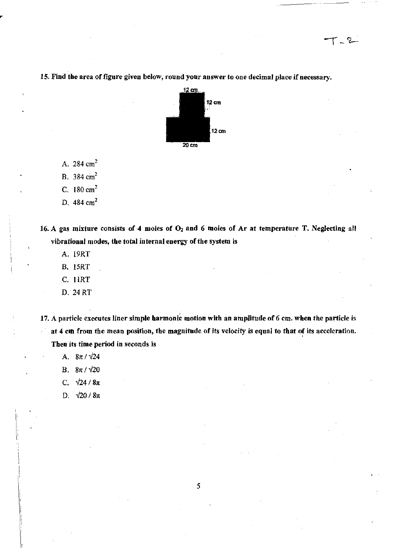

**IS. Find the area of figure given below, round your answer to one decimal place if necessary.** 

A. 284 em'

B. 384  $cm<sup>2</sup>$ 

C. 180 em'

D. 484 cm<sup>2</sup>

**16. A gas mixture consists of 4 moles of 02 and 6 moles of Ar at temperature T. Neglecting all**  vibrational modes, the total internal energy of the system is

- A. 19RT
- B. 15RT
- C. 11RT
- D.24RT

**17. A particle executes liner simple harmonic motion with an amplitude of 6 em. wben the particle** is at 4 cm from the mean position, the magnitude of its velocity is equal to that of its acceleration. **Then its time period in seconds is** 

- A.  $8\pi/\sqrt{24}$
- B.  $8\pi/\sqrt{20}$
- C.  $\sqrt{24/8\pi}$
- D.  $\sqrt{20/8\pi}$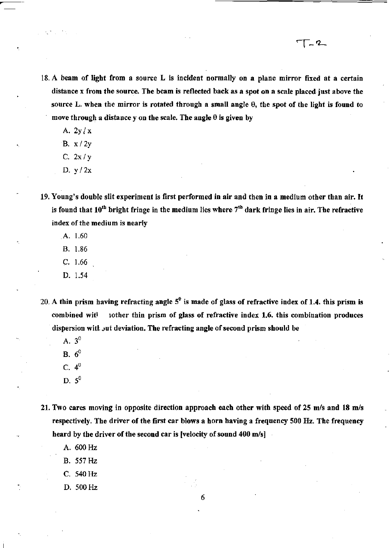18. A beam of light from a source L is incident normally on a plane mirror fixed at a certain distance x from the source. The beam is reflected back as a spot on a scale placed just above the source L. when the mirror is rotated through a small angle  $\theta$ , the spot of the light is found to move through a distance y on the scale. The angle  $\theta$  is given by

T - 2 -

A.  $2y/x$ 

,

- B. x/2y
- C. 2x/y
- D. Y /2x
- 19. Young's double slit experiment is first performed in air and then in a medium other than air. It is found that  $10^{th}$  bright fringe in the medium lies where  $7^{th}$  dark fringe lies in air. The refractive index of the medium is nearly
	- A. 1.60
	- B. 1.86
	- C. 1.66
	- D. 1.54
- 20. A thin prism having refracting angle  $5^0$  is made of glass of refractive index of 1.4. this prism is combined wit<sup>t</sup> iother thin prism of glass of refractive index 1.6. this combination produces dispersion with out deviation. The refracting angle of second prism should be
	- A. 3°
	- **B.**  $6^{\circ}$
	- C. 4°
	- D.  $5^0$
- 21. Two cares moving in opposite direction approach each other with speed of 25 m/s and 18 m/s respectively. The driver of the first car blows a horn baving a frequency 500 Hz. The frequency heard by the driver of the second car is [velocity of sound 400 m/s]

6

- A. 600Hz
- B. 557Hz
- C. 540Hz
- D. 500Hz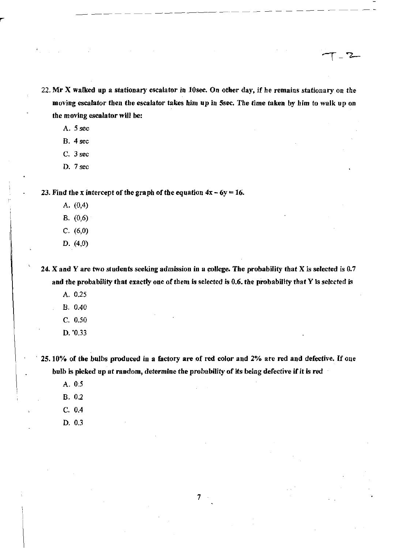22. Mr X walked up a stationary escalator in lOsee. On other day, if he remains stationary on the moving escalator then the escalator takes him up in Ssec. The time taken by him to walk up on the moving escalator will be:

--------------------

 $-2$ 

A. 5 sec

- B. 4 sec
- C. 3 sec
- D. 7 sec

23. Find the x intercept of the graph of the equation  $4x - 6y = 16$ .

- A. (0,4)
- B. (0,6)
- C. (6,0)
- D. (4,0)

24. X and Y are two students seeking admission in a college. The probability that X is selected is 0.7 and the probability that exactly one of them is selected is 0.6. the probability that Y is selected is

- A. 0.25
- B. 0.40
- C. 0.50
- D. '0.33

25.10% of the bulbs produced in a factory are of red color and 2% are red and defective. If one bulb is picked up at random, determine the probability of its being defective if it is red

7

- A.05
- B. 0.2
- C. 0.4
- D. 03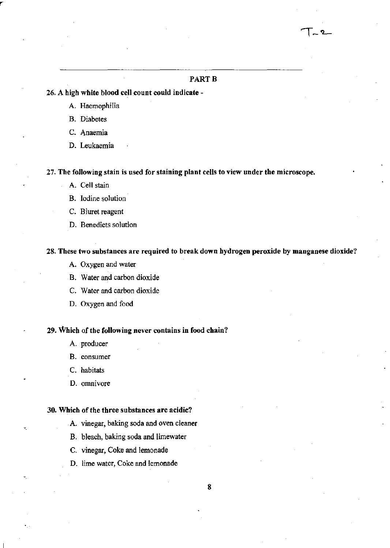#### PART<sub>B</sub>

#### 26. A high white blood cell count could indicate -

- A. Haemophilia
- B. Diabetes
- C. Anaemia
- D. Leukaemia

27. The following stain is used for staining plant cells to view under the microscope.

- A. Cell stain
- B. Iodine solution
- C. Biuret reagent
- D. Benedicts solution

#### 28. These two substances are required to break down hydrogen peroxide by manganese dioxide?

- A. Oxygen and water
- B. Water and carbon dioxide
- C. Water and carbon dioxide
- D. Oxygen and food

#### 29. Which of the following never contains in food chain?

- A. producer
- B. consumer
- C. habitats
- D. omnivore

#### 30. Which of the three substances are acidic?

- A. vinegar, baking soda and oven cleaner
- B. bleach, baking soda and limewater
- C. vinegar, Coke and lemonade
- D. lime water, Coke and lemonade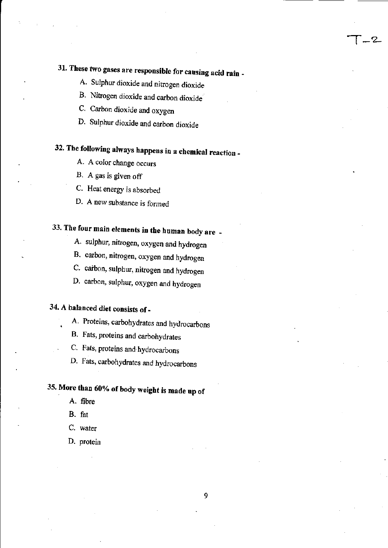# 31. These two gases are responsible for causing acid rain \_

1\_'2-

- A. Sulphur dioxide and nitrogen dioxide
- B. Nitrogen dioxide and carbon dioxide
- C. Carbon dioxide and oxygen
- D. Sulphur dioxide and carbon dioxide

# 32. The following always happens in a chemical reaction \_

- A. A color change occurs
- B. A gas is given off
- C. Heat energy is absorbed
- D. A new substance is formed

# 33. The four main elements in the human body are \_

- A. sulphur, nitrogen, oxygen and hydrogen
- B. carbon, nitrogen, oxygen and hydrogen
- C. carbon, sulphur, nitrogen and hydrogen
- D. carbon, sulphur, oxygen and hydrogen

## 34. A balanced diet consists of \_

- A. Proteins, carbohydrates and hydrocarbons
- B. Fats, proteins and carbohydrates
- C. Fats, proteins and· hydrocarbons
- D. Fats, carbohydrates and hydrocarbons

# 35. More than 60% of body weight is made up of

- A. fibre
- B. fat
- C. water
- D. protein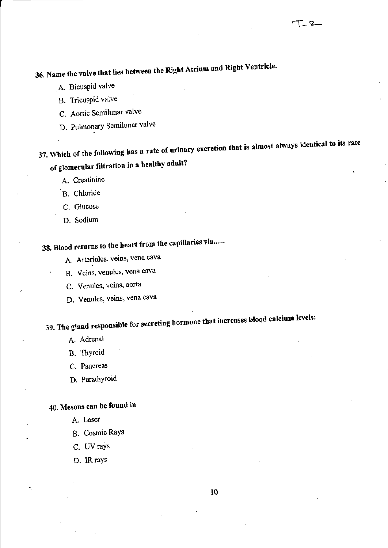# 36. Name the valve that lies between the Right Atrium and Right Ventricle.

- A. Bicuspid valve
- B. Tricuspid valve
- C. Aortic Semilunar valve
- D. Pulmonary Semilunar valve

37. Which of the following has a rate of urinary excretion that is almost always identical to its rate of glomerular filtration in a healthy adult?

A. Creatinine

- B. Chloride
- C. Glucose
- D. Sodium

# 38. Blood returns to the heart from the capillaries via......

- A. Arterioles, veins, vena cava
- B. Veins, venules, vena cava
- C. Venules, veins, aorta
- D. Venules, veins, vena cava

# 39. The gland responsible for secreting hormone that increases blood calcium levels:

- A. Adrenal
- B. Thyroid
- C. Pancreas
- D. Parathyroid

## 40. Mesons can be found in

- A. Laser
- B. Cosmic Rays
- C. UV rays
- D. IR rays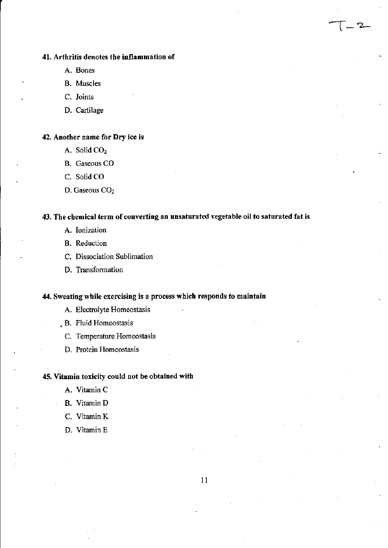#### **41.** Arthritis denotes the inflammation of

- A. Bones
- B. Muscles
- C. Joints
- D. Cartilage

#### 42. Another name for Dry ice is

- A. Solid CO,
- B. Gaseous CO
- C. Solid CO
- D. Gaseous CO<sub>2</sub>

#### 43. The chemical term of converting an unsaturated vegetable oil to saturated fat is

l-'2-

- A. Ionization
- B. Reduction
- C. Dissociation Sublimation
- D. Transformation

#### 44. Sweating while exercising is a process which responds to maintain

- A. Electrolyte Homeostasis
- B. Fluid Homeostasis
	- C. Temperature Homeostasis
	- D. Protein Homeostasis

#### 45. Vitamin toxicity could not be obtained with

- A. Vitamin C
- B. Vitamin D
- C. Vitamin K
- D. Vitamin E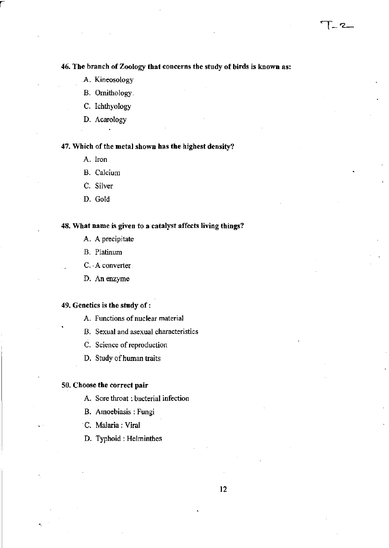$1 - 2$ 

A. Kineosology

r

- B. Ornithology
- C. Ichthyology
- D. Acarology

#### 47. Which of the metal shown has the highest density?

- A. Iron
- B. Calcium
- C. Silver
- D. Gold

#### 48. What name is given to a catalyst affects living things?

- A. A precipitate
- B. Platinum
- C. A converter.
- D. Anenzyme

#### 49. Genetics is the study of:

- A. Functions of nuclear material
- B. Sexual and asexual characteristics
- C. Science of reproduction
- D. Study of human traits

#### 50. Choose the correct pair

- A. Sore throat: bacterial infection
- B. Amoebiasis: Fungi
- C. Malaria: Viral
- D. Typhoid: Helminthes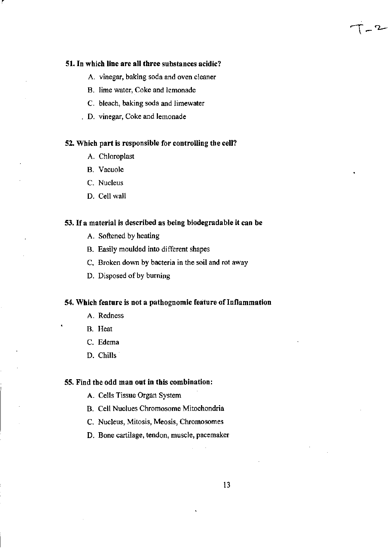#### 51. In which line are all three substances acidic?

A. vinegar, baking soda and oven cleaner

 $\dot{T} - 2$ 

- B. lime water, Coke and lemonade
- C. bleach, baking soda and limewater
- D. vinegar, Coke and lemonade

#### 52. Which part is responsible for controlling the cell?

- A. Chloroplast
- B. Vacuole
- C. Nucleus
- D. Cell wall

#### 53. If a material is described as being biodegradable it can be

- A. Softened by heating
- B. Easily moulded into different shapes
- C. Broken down by bacteria in the soil and rot away
- D. Disposed of by burning

#### 54. Which feature is not a pathognomic feature of Inflammation

- A. Redness
- B. Heat
- C. Edema
- D. Chills

#### 55. Find the odd man out in this combination:

- A. Cells Tissue Organ System
- B. Cell Nuclues Chromosome Mitochondria
- C. Nucleus, Mitosis, Meosis, Chromosomes
- D. Bone cartilage, tendon, muscle, pacemaker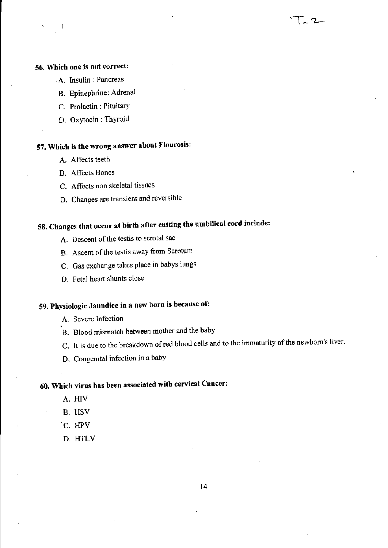#### 56. Which one is not correct:

- A. Insulin: Pancreas
- B. Epinephrine: Adrenal
- c. Prolactin: Pituitary
- D. Oxytocin: Thyroid

## 57. Which is the wrong answer about Flourosis:

- A. Affects teeth
- B. Affects Bones
- C. Affects non skeletal tissues
- D. Changes are transient and reversible

## 58. Changes that occur at birth after cutting the umbilical cord include:

- A. Descent of the testis to scrotal sac
- B. Ascent of the testis away from Scrotum
- C. Gas exchange takes place in babys lungs
- D. Fetal heart shunts close

## 59. Physiologic Jaundice in a new born is because of:

- A. Severe Infection
- B. Blood mismatch between mother and the baby
- C. It is due to the breakdown of red blood cells and to the immaturity of the newborn's liver.

 $\Gamma$  2  $-$ 

D. Congenital infection in a baby

## 60. Which virus has been associated with cervical Cancer:

- A. HIV
- B. HSV
- c. HPV
- D. HTLV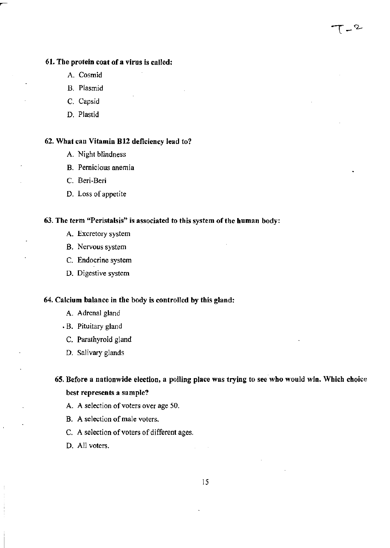#### 61. The protein coat of a virus is called:

- A. Cosmid
- B. Plasmid
- C. Capsid
- D. Plastid

#### 62. What can Vitamin B12 deficiency lead to?

- A. Night blindness
- B. Pernicious anemia
- C. Beri-Beri
- D. Loss of appetite

#### 63. The term "Peristalsis" is associated to this system of the human body:

- A. Excretory system
- B. Nervous system
- C. Endocrine system
- D. Digestive system

#### 64. Calcium balance in the body is controlled by this gland:

- A. Adrenal gland
- B. Pituitary gland
- C. Parathyroid gland
- D. Salivary glands

### 65. Before a nationwide election, a polling place was trying to see who would win. Which choice best represents a sample?

 $T - 2$ 

- A. A selection of voters over age 50.
- B. A selection of male voters.
- C. A selection of voters of different ages.
- D. All voters.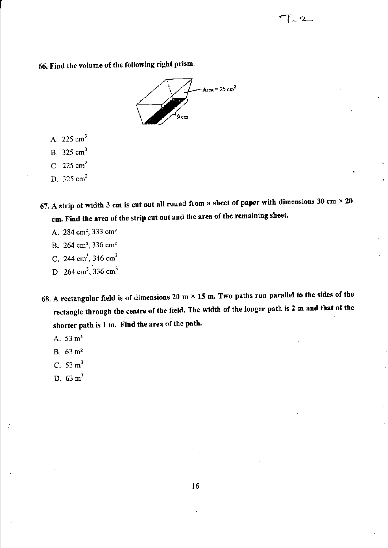## 66. Find the volume of the following right prism .



 $\Gamma$  2

- A. 225  $cm<sup>3</sup>$
- B.  $325 \text{ cm}^3$
- C. 225  $cm<sup>2</sup>$
- D.  $325 \text{ cm}^2$
- 67. A strip of width 3 cm is cut out all round from a sheet of paper with dimensions 30 cm  $\times$  20 cm. Find the area of the strip cut out and the area of the remaining sheet.
	- A. 284 cm<sup>2</sup>, 333 cm<sup>2</sup>
	- B. 264 cm<sup>2</sup>, 336 cm<sup>2</sup>
	- C. 244 cm<sup>3</sup>, 346 cm<sup>3</sup>
	- D. 264 cm<sup>3</sup>, 336 cm<sup>3</sup>
- 68. A rectangular field is of dimensions 20 m  $\times$  15 m. Two paths run parallel to the sides of the rectangle through the centre of the field. The width of the longer path is 2 m and that of the shorter path is 1 m. Find the area of the path.
	- A.  $53 \text{ m}^2$
	- B. 63 m'
	- C.  $53 \text{ m}^3$
	- D. 63 m'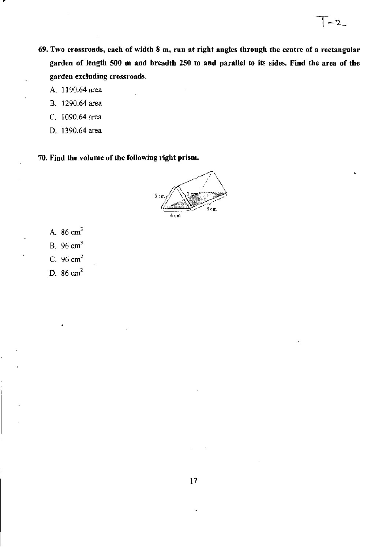**69. Two crossroads, each of width 8 ru, run at right angles through the centre of a rectangular garden of length SOO m and breadth 250 m and parallel to its sides. Find the area of the garden excluding crossroads.** 

 $-2$ 

- A. 1190.64 area
- B. 1290.64 area
- C. 1090.64 area
- D. 1390.64 area

**70. Find the volume of the following right prism.** 



- A.  $86 \text{ cm}^3$
- B. 96cm<sup>3</sup>
- c. 96cm<sup>2</sup>
- D. 86 em'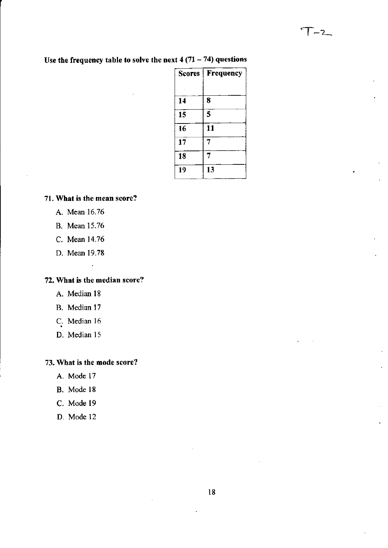| Frequency |
|-----------|
| 8         |
| 5         |
| 11        |
| 7         |
| 7         |
| 13        |
|           |

### Use the frequency table to solve the next  $4(71-74)$  questions

#### **71. What is the mean score?**

- A. Mean 16.76
- B. Mean 15.76
- C. Mean 14.76
- D. Mean 19.78

#### **72. What is the median score?**

 $\overline{a}$ 

- A. Median 18
- B. Median 17
- C. Median 16
- D. Median 15

#### **73. What is the mode score?**

- A. Mode 17
- B. Mode 18
- C. Mode 19
- D. Mode 12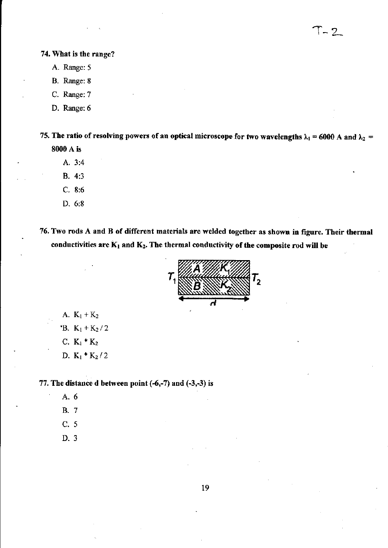#### **74. What is the range?**

- A. Range: 5
- B. Range: 8
- C. Range: 7
- D. Range: 6

75. The ratio of resolving powers of an optical microscope for two wavelengths  $\lambda_1$  = 6000 A and  $\lambda_2$  = 8000 A is

- A.3:4
- B. 4:3
- C. 8:6
- D.6:8
- **76. Two rods A and B of different materials are welded together as shown in figure. Their thermal**  conductivities are  $K_1$  and  $K_2$ . The thermal conductivity of the composite rod will be



- A.  $K_1 + K_2$
- 'B.  $K_1 + K_2 / 2$
- **C.**  $K_1 * K_2$
- D. KJ \* *K2/2*

77. The distance d between point  $(-6,-7)$  and  $(-3,-3)$  is

- A.6
- B.7
- C. 5
- D.3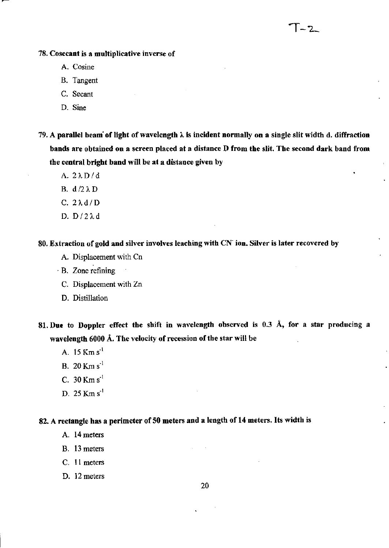#### 78. Cosecant is a multiplicative inverse of

- A. Cosine
- B. Tangent
- C. Secant
- D. Sine
- 79. A parallel beam of light of wavelength  $\lambda$  is incident normally on a single slit width d. diffraction bands are obtained on a screen placed at a distance D from the slit. The second dark band from the central bright band will be at a distance given by

 $-2$ 

- A.2AD/d
- B.  $d/2 \lambda D$
- C.  $2\lambda d/D$
- D.  $D/2\lambda d$

80. Extraction of gold and silver involves leaching with CN ion. Silver is later recovered by

- A. Displacement with Cn
- . B. Zone refining
	- C. Displacement with Zn
	- D. Distillation

81. Due to Doppler effect the shift in wavelength observed is 0.3 Å, for a star producing a wavelength 6000 A. The velocity of recession of the star will be

- A. 15 Km s<sup>-1</sup>
- B.20Kms'
- C. 30Kms'
- D. 25 Km s<sup>-1</sup>

#### 82. A rectangle has a perimeter of 50 meters and a length of 14 meters. Its width is

- A. 14 meters
- B. 13 meters
- C. 11 meters
- D. 12 meters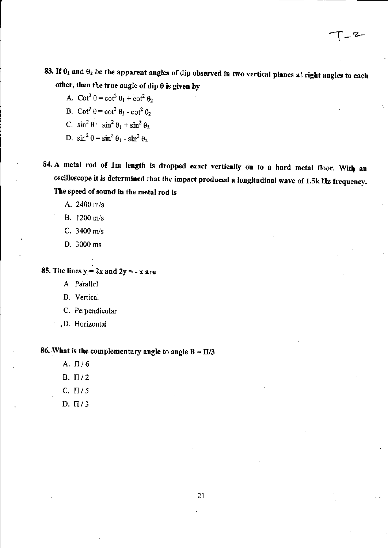-2

- A.  $\cot^2 \theta = \cot^2 \theta_1 + \cot^2 \theta_2$
- B.  $\cot^2 \theta = \cot^2 \theta_1 \cot^2 \theta_2$
- C.  $\sin^2 \theta = \sin^2 \theta_1 + \sin^2 \theta_2$
- D.  $\sin^2 \theta = \sin^2 \theta_1 \sin^2 \theta_2$
- 84. A metal rod of 1m length is dropped exact vertically on to a hard metal floor. With an oscilloscope it is determined that the impact produced a longitudinal wave of 1.5k Hz frequency. The speed of sound in the metal rod is

A. 2400 m/s

- B. 1200 *mls*
- C. 3400 *mls*
- D. 3000 ms

#### 85. The lines  $y = 2x$  and  $2y = -x$  are

- A. Parallel
- B. Vertical
- C. Perpendicular
- .D. Horizontal

#### 86. What is the complementary angle to angle  $B = \Pi/3$

- A.  $\Pi/6$
- B.  $\Pi/2$
- C.  $\Pi/5$
- $D. \Pi/3$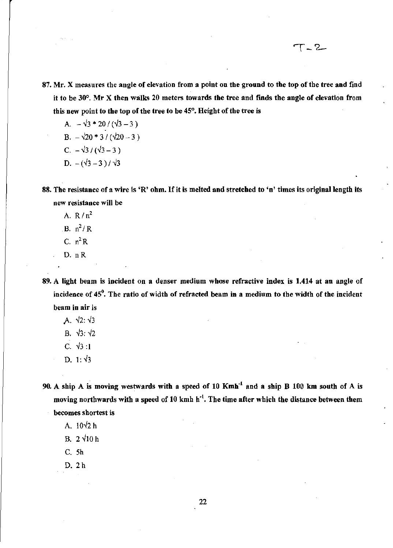87. Mr. X measures the angle of elevation from a point on the ground to the top of the tree and find it to be  $30^{\circ}$ . Mr X then walks 20 meters towards the tree and finds the angle of elevation from this new point to the top of the tree to be 45°, Height of the tree is

T-2

A. 
$$
-\sqrt{3} * 20 / (\sqrt{3} - 3)
$$
  
\nB.  $-\sqrt{20} * 3 / (\sqrt{20} - 3)$   
\nC.  $-\sqrt{3} / (\sqrt{3} - 3)$   
\nD.  $-(\sqrt{3} - 3) / \sqrt{3}$ 

88. The resistance of a wire is 'R' ohm. If it is melted and stretched to 'n' times its original length its new resistance will be

- A.  $R/n^2$
- $B. n^2/R$
- C.  $n^2R$
- D. nR
- 89. A light beam is incident on a denser medium whose refractive index is 1.414 at an angle of incidence of  $45^\circ$ . The ratio of width of refracted beam in a medium to the width of the incident beam in air is
	- A.  $\sqrt{2}$ :  $\sqrt{3}$
	- B.  $\sqrt{3}$ :  $\sqrt{2}$
	- C.  $\sqrt{3}:1$
	- D. 1:  $\sqrt{3}$
- 90. A ship A is moving westwards with a speed of 10 Kmh'l and a ship B 100 km south of A is moving northwards with a speed of 10 kmh h<sup>-1</sup>. The time after which the distance between them becomes shortest is
	- A.  $10\sqrt{2}$  h
	- B.  $2\sqrt{10}$ h
	- C. 5h
	- D. 2h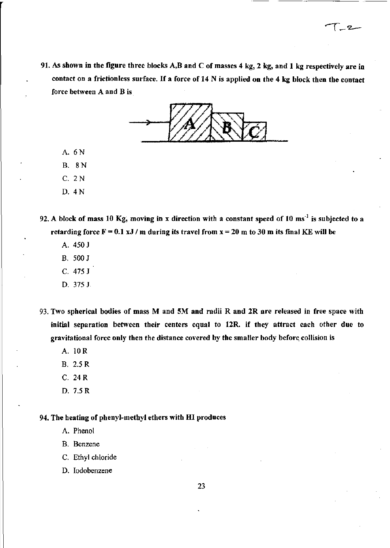91. As shown in the figure three blocks A,B and C of masses 4 kg, 2 kg, and 1 kg respectively are in contact on a frictionless surface. If a force of 14 N is applied on the 4 kg block then the contact force between A and B is

 $\sqrt{2}$ 



A. 6N

B. 8N

C. 2N

D. 4N

92. A block of mass 10 Kg, moving in x direction with a constant speed of 10 ms<sup>-1</sup> is subjected to a retarding force  $F = 0.1 xJ/m$  during its travel from  $x = 20 m$  to 30 m its final KE will be

- A. 450 J
- B. 500 J
- C. 475 J
- D. 375 J
- 93. Two spherical bodies of mass M and 5M and radii R and 2R are released in free space with initial separation between their centers equal to 12R. if they attract each other due to gravitational force only then the distance covered by the smaller body before. collision is
	- A. lOR
	- B. 2.5 R
	- C. 24R
	- D. 7.5 R

#### 94. The heating of phenyl-methyl ethers with HI produces

- A. Phenol
- B. Benzene
- C. Ethyl chloride
- D. Iodobenzene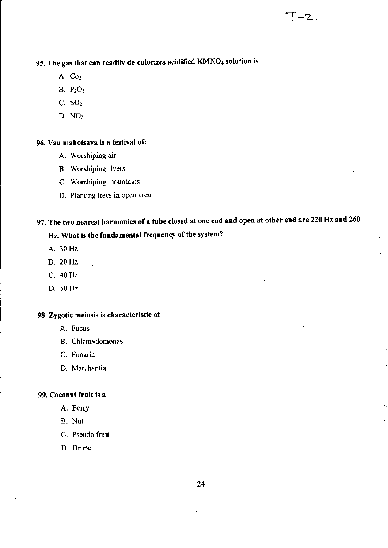- A. Co<sub>2</sub>
- B.  $P_2O_5$
- C. SO,
- D. NO,

#### 96. Van mahotsava is a festival of:

- A. Worshiping air
- B. Worshiping rivers
- C. Worshiping mountains
- D. Planting trees in open area

## 97. The two nearest harmonics of a tube closed at one end and open at other end are 220 Hz and 260

 $\Gamma$  -2.

### Hz. What is tbe fundamental frequency of the system?

- A. 30Hz
- B. 20Hz
- C. 40Hz
- D. 50 Hz

#### 98. Zygotic meiosis is characteristic of

- A. Fucus
- B. Chlamydomonas
- C. Funaria
- D. Marchantia

#### 99. Coconut fruit is a

- A. Berry
- B. Nut
- C. Pseudo fruit
- D. Drupe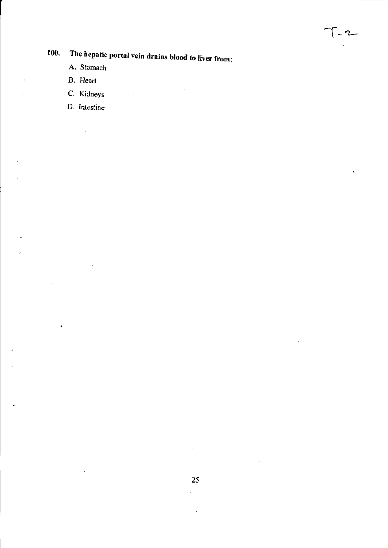# **100. The hepatic portal vein drains blood to liver from:**

 $\sim 10^{11}$  km  $^{-1}$ 

 $\bar{z}$ 

 $T - 2$ 

- A. Stomach
- B. Heart

 $\ddot{\phantom{0}}$ 

- C. Kidneys
- D. Intestine

 $\frac{1}{2}$ 

 $\bullet$ 

 $\ddot{\phantom{a}}$ 

 $\mathcal{L}^{\pm}$ 

 $\omega_{\rm{max}}=1$